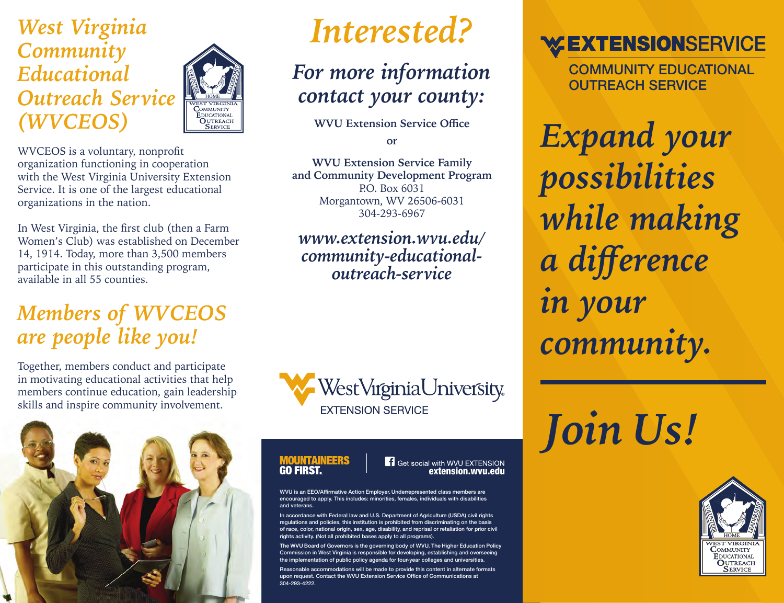*West Virginia Community Educational Outreach Service (WVCEOS)*



WVCEOS is a voluntary, nonprofit organization functioning in cooperation with the West Virginia University Extension Service. It is one of the largest educational organizations in the nation.

In West Virginia, the first club (then a Farm Women's Club) was established on December 14, 1914. Today, more than 3,500 members participate in this outstanding program, available in all 55 counties.

### *Members of WVCEOS are people like you!*

Together, members conduct and participate in motivating educational activities that help members continue education, gain leadership skills and inspire community involvement.



# *Interested?*

## *For more information contact your county:*

**WVU Extension Service Office**

**or**

**WVU Extension Service Family and Community Development Program** P.O. Box 6031 Morgantown, WV 26506-6031 304-293-6967

*www.extension.wvu.edu/ community-educationaloutreach-service*



#### **MOUNTAINEERS GO FIRST**

### extension.wvu.edu

WVU is an EEO/Affirmative Action Employer. Underrepresented class members are encouraged to apply. This includes: minorities, females, individuals with disabilities and veterans.

dance with Federal law and U.S. Department of Agriculture (USDA) civil rights regulations and policies, this institution is prohibited from discriminating on the basis of race, color, national origin, sex, age, disability, and reprisal or retaliation for prior civil rights activity. (Not all prohibited bases apply to all programs).

Board of Governors is the governing body of WVU. The Higher Education Policy ssion in West Virginia is responsible for developing, establishing and overseeing the implementation of public policy agenda for four-year colleges and universities.

Reasonable accommodations will be made to provide this content in alternate formats upon request. Contact the WVU Extension Service Office of Communications at 304-293-4222.

### **WEXTENSIONSERVICE**

COMMUNITY EDUCATIONAL OUTREACH SERVICE

*Expand your possibilities while making a difference in your community.*

*Join Us!*